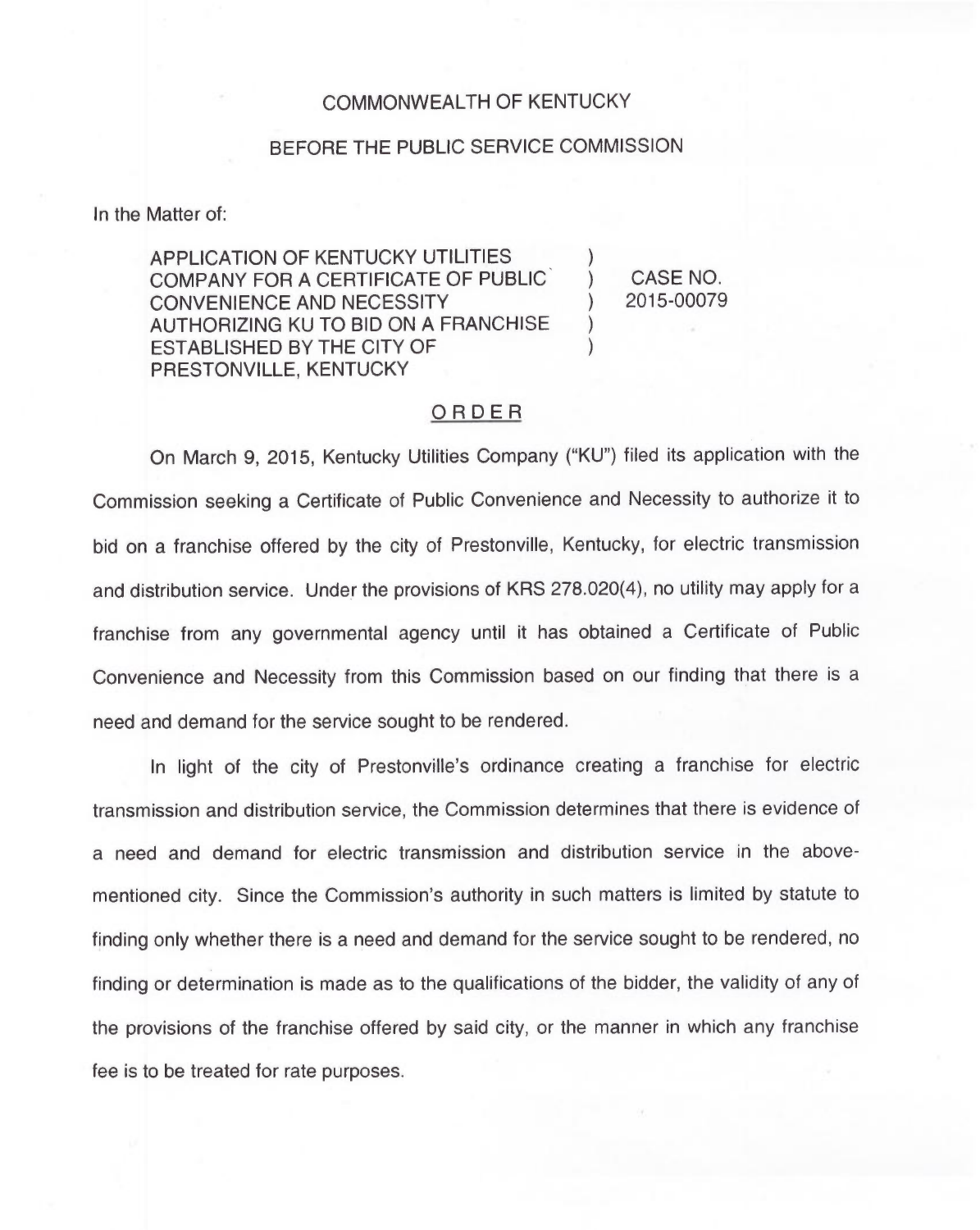## COMMONWEALTH OF KENTUCKY

## BEFORE THE PUBLIC SERVICE COMMISSION

In the Matter of:

APPLICATION OF KENTUCKY UTILITIES COMPANY FOR A CERTIFICATE OF PUBLIC CONVENIENCE AND NECESSITY AUTHORIZING KU TO BID ON A FRANCHISE ESTABLISHED BY THE CITY OF PRESTONVILLE, KENTUCKY

) CASE NO. ) 2015-00079

)

) )

## ORDER

On March 9, 2015, Kentucky Utilities Company ("KU") filed its application with the Commission seeking a Certificate of Public Convenience and Necessity to authorize it to bid on a franchise offered by the city of Prestonville, Kentucky, for electric transmission and distribution service. Under the provisions of KRS 278.020(4), no utility may apply for a franchise from any governmental agency until it has obtained a Certificate of Public Convenience and Necessity from this Commission based on our finding that there is a need and demand for the service sought to be rendered.

In light of the city of Prestonville's ordinance creating a franchise for electric transmission and distribution service, the Commission determines that there is evidence of a need and demand for electric transmission and distribution service in the abovementioned city. Since the Commission's authority in such matters is limited by statute to finding only whether there is a need and demand for the service sought to be rendered, no finding or determination is made as to the qualifications of the bidder, the validity of any of the provisions of the franchise offered by said city, or the manner in which any franchise fee is to be treated for rate purposes.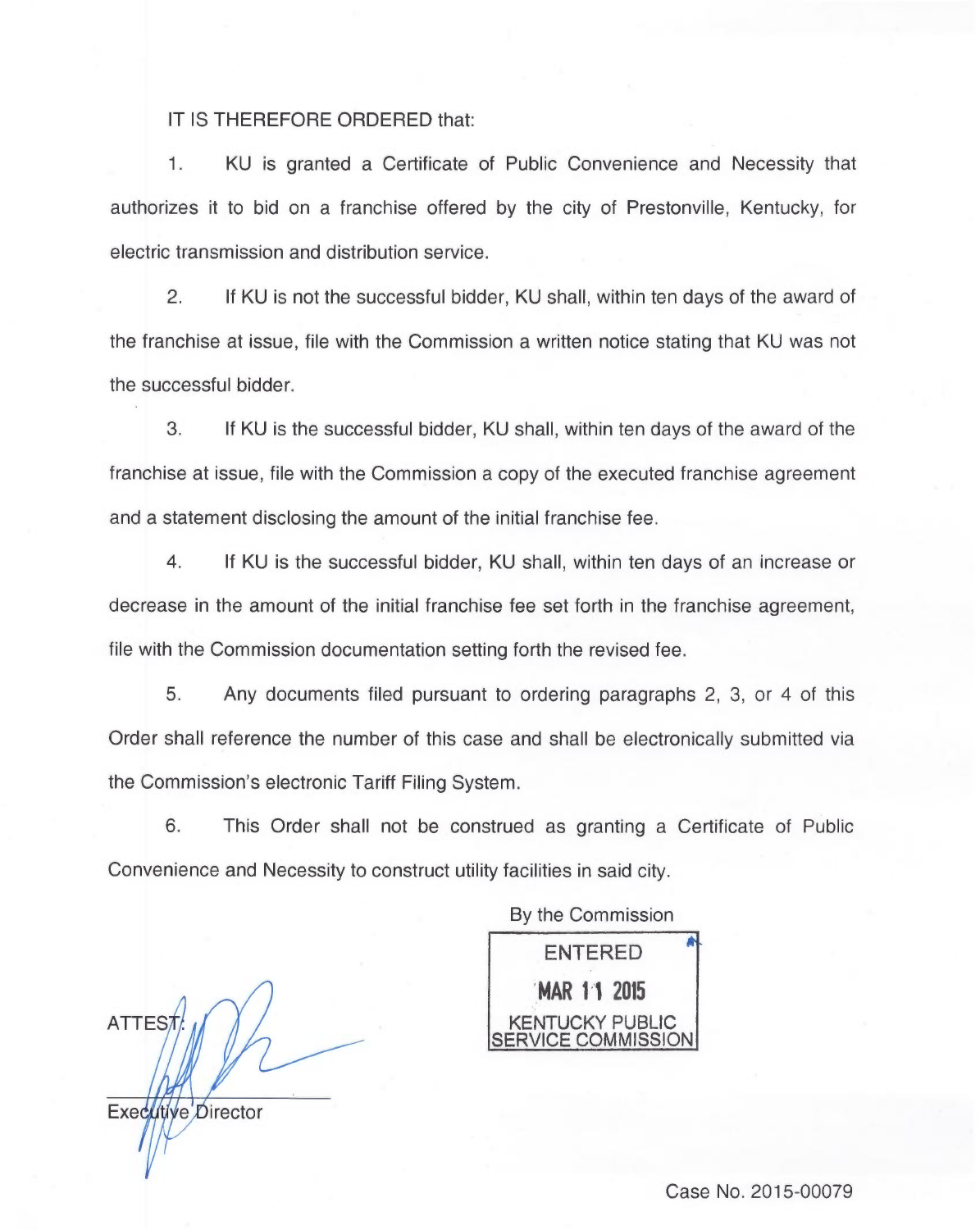## IT IS THEREFORE ORDERED that:

1. KU is granted a Certificate of Public Convenience and Necessity that authorizes it to bid on a franchise offered by the city of Prestonville, Kentucky, for electric transmission and distribution service.

2. If KU is not the successful bidder, KU shall, within ten days of the award of the franchise at issue, file with the Commission a written notice stating that KU was not the successful bidder.

3. If KU is the successful bidder, KU shall, within ten days of the award of the franchise at issue, file with the Commission a copy of the executed franchise agreement and a statement disclosing the amount of the initial franchise fee.

4. If KU is the successful bidder, KU shall, within ten days of an increase or decrease in the amount of the initial franchise fee set forth in the franchise agreement, file with the Commission documentation setting forth the revised fee.

5. Any documents filed pursuant to ordering paragraphs 2, 3, or 4 of this Order shall reference the number of this case and shall be electronically submitted via the Commission's electronic Tariff Filing System.

6. This Order shall not be construed as granting a Certificate of Public Convenience and Necessity to construct utility facilities in said city.

ATTES<sub>7</sub>

Executive Director

By the Commission

ENTERED MAR 11 2015 KENTUCKY PUBLIC :OMMISSIONI

Case No. 2015-00079